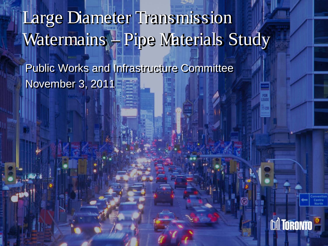Public Works and Infrastructure Committee November 3, 2011

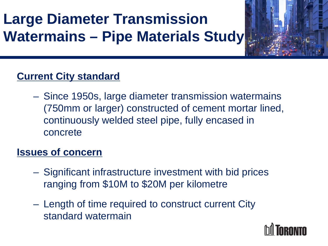

#### **Current City standard**

– Since 1950s, large diameter transmission watermains (750mm or larger) constructed of cement mortar lined, continuously welded steel pipe, fully encased in concrete

#### **Issues of concern**

- Significant infrastructure investment with bid prices ranging from \$10M to \$20M per kilometre
- Length of time required to construct current City standard watermain

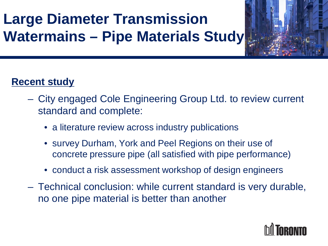

### **Recent study**

- City engaged Cole Engineering Group Ltd. to review current standard and complete:
	- a literature review across industry publications
	- survey Durham, York and Peel Regions on their use of concrete pressure pipe (all satisfied with pipe performance)
	- conduct a risk assessment workshop of design engineers
- Technical conclusion: while current standard is very durable, no one pipe material is better than another

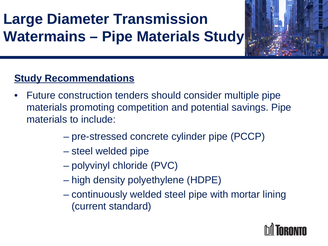

### **Study Recommendations**

- Future construction tenders should consider multiple pipe materials promoting competition and potential savings. Pipe materials to include:
	- pre-stressed concrete cylinder pipe (PCCP)
	- steel welded pipe
	- polyvinyl chloride (PVC)
	- high density polyethylene (HDPE)
	- continuously welded steel pipe with mortar lining (current standard)

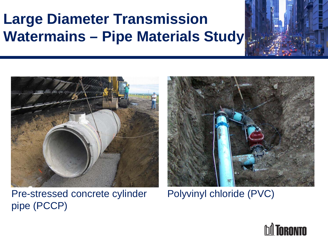

Pre-stressed concrete cylinder pipe (PCCP)



Polyvinyl chloride (PVC)

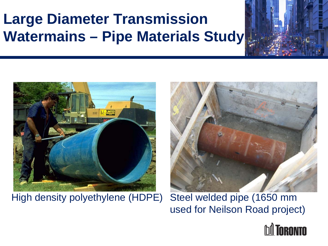

High density polyethylene (HDPE) Steel welded pipe (1650 mm



used for Neilson Road project)

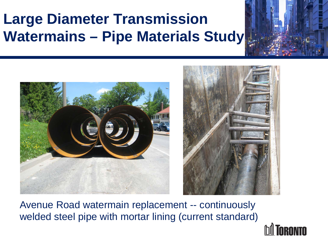



Avenue Road watermain replacement -- continuously welded steel pipe with mortar lining (current standard)